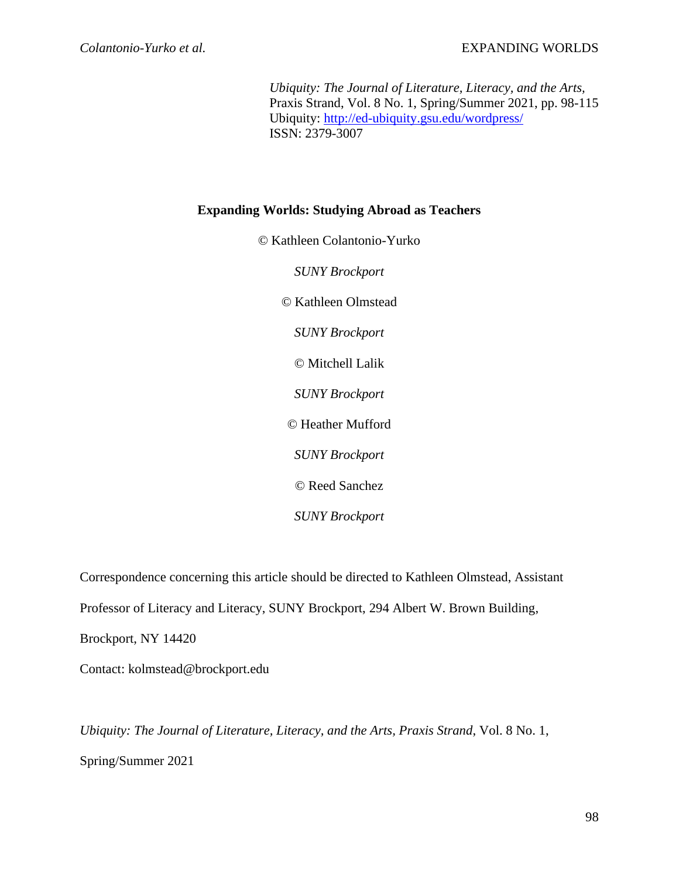*Ubiquity: The Journal of Literature, Literacy, and the Arts,* Praxis Strand, Vol. 8 No. 1, Spring/Summer 2021, pp. 98-115 Ubiquity:<http://ed-ubiquity.gsu.edu/wordpress/> ISSN: 2379-3007

# **Expanding Worlds: Studying Abroad as Teachers**

© Kathleen Colantonio-Yurko *SUNY Brockport* © Kathleen Olmstead *SUNY Brockport* © Mitchell Lalik *SUNY Brockport* © Heather Mufford *SUNY Brockport* © Reed Sanchez *SUNY Brockport*

Correspondence concerning this article should be directed to Kathleen Olmstead, Assistant Professor of Literacy and Literacy, SUNY Brockport, 294 Albert W. Brown Building, Brockport, NY 14420 Contact: kolmstead@brockport.edu

*Ubiquity: The Journal of Literature, Literacy, and the Arts, Praxis Strand*, Vol. 8 No. 1, Spring/Summer 2021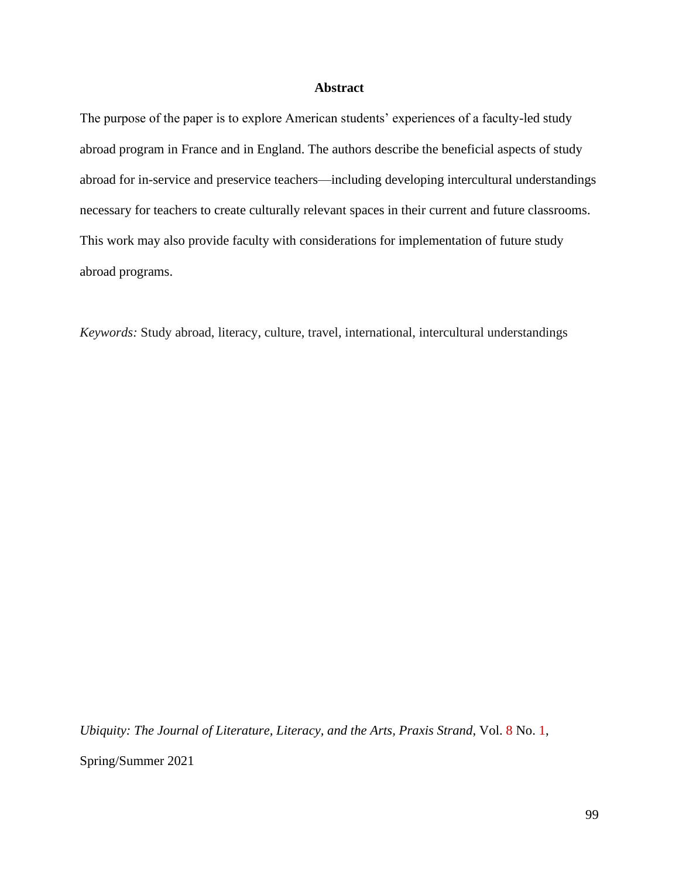## **Abstract**

The purpose of the paper is to explore American students' experiences of a faculty-led study abroad program in France and in England. The authors describe the beneficial aspects of study abroad for in-service and preservice teachers—including developing intercultural understandings necessary for teachers to create culturally relevant spaces in their current and future classrooms. This work may also provide faculty with considerations for implementation of future study abroad programs.

*Keywords:* Study abroad, literacy, culture, travel, international, intercultural understandings

*Ubiquity: The Journal of Literature, Literacy, and the Arts, Praxis Strand*, Vol. 8 No. 1,

Spring/Summer 2021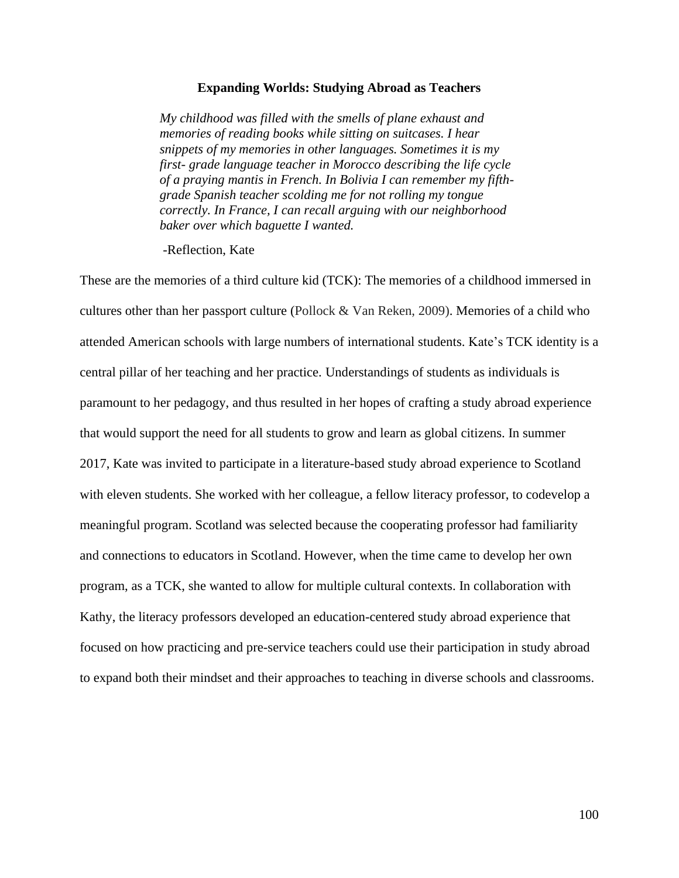### **Expanding Worlds: Studying Abroad as Teachers**

*My childhood was filled with the smells of plane exhaust and memories of reading books while sitting on suitcases. I hear snippets of my memories in other languages. Sometimes it is my first- grade language teacher in Morocco describing the life cycle of a praying mantis in French. In Bolivia I can remember my fifthgrade Spanish teacher scolding me for not rolling my tongue correctly. In France, I can recall arguing with our neighborhood baker over which baguette I wanted.*

-Reflection, Kate

These are the memories of a third culture kid (TCK): The memories of a childhood immersed in cultures other than her passport culture (Pollock & Van Reken, 2009). Memories of a child who attended American schools with large numbers of international students. Kate's TCK identity is a central pillar of her teaching and her practice. Understandings of students as individuals is paramount to her pedagogy, and thus resulted in her hopes of crafting a study abroad experience that would support the need for all students to grow and learn as global citizens. In summer 2017, Kate was invited to participate in a literature-based study abroad experience to Scotland with eleven students. She worked with her colleague, a fellow literacy professor, to codevelop a meaningful program. Scotland was selected because the cooperating professor had familiarity and connections to educators in Scotland. However, when the time came to develop her own program, as a TCK, she wanted to allow for multiple cultural contexts. In collaboration with Kathy, the literacy professors developed an education-centered study abroad experience that focused on how practicing and pre-service teachers could use their participation in study abroad to expand both their mindset and their approaches to teaching in diverse schools and classrooms.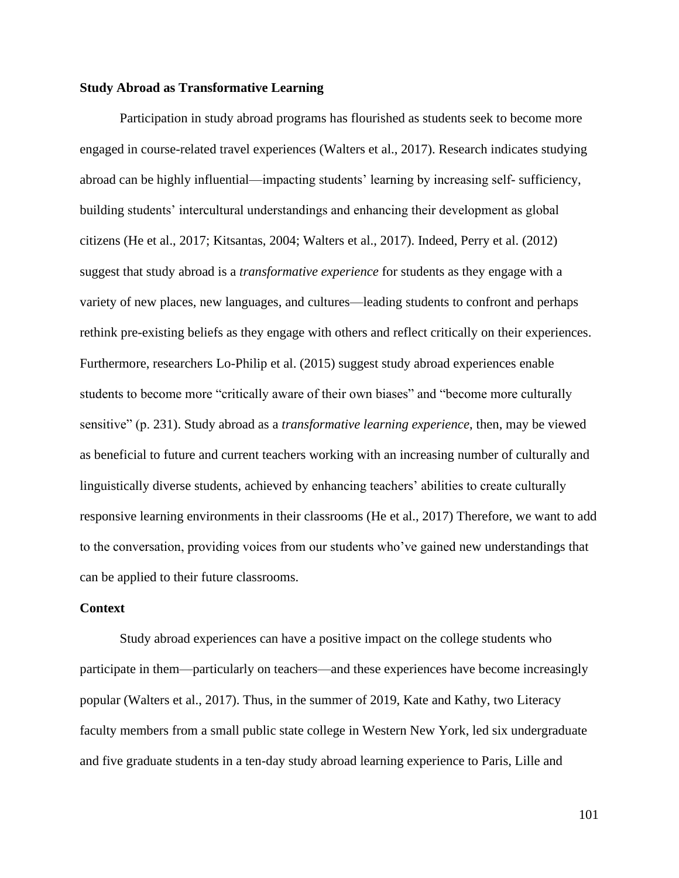## **Study Abroad as Transformative Learning**

Participation in study abroad programs has flourished as students seek to become more engaged in course-related travel experiences (Walters et al., 2017). Research indicates studying abroad can be highly influential—impacting students' learning by increasing self- sufficiency, building students' intercultural understandings and enhancing their development as global citizens (He et al., 2017; Kitsantas, 2004; Walters et al., 2017). Indeed, Perry et al. (2012) suggest that study abroad is a *transformative experience* for students as they engage with a variety of new places, new languages, and cultures—leading students to confront and perhaps rethink pre-existing beliefs as they engage with others and reflect critically on their experiences. Furthermore, researchers Lo-Philip et al. (2015) suggest study abroad experiences enable students to become more "critically aware of their own biases" and "become more culturally sensitive" (p. 231). Study abroad as a *transformative learning experience*, then, may be viewed as beneficial to future and current teachers working with an increasing number of culturally and linguistically diverse students, achieved by enhancing teachers' abilities to create culturally responsive learning environments in their classrooms (He et al., 2017) Therefore, we want to add to the conversation, providing voices from our students who've gained new understandings that can be applied to their future classrooms.

## **Context**

Study abroad experiences can have a positive impact on the college students who participate in them—particularly on teachers—and these experiences have become increasingly popular (Walters et al., 2017). Thus, in the summer of 2019, Kate and Kathy, two Literacy faculty members from a small public state college in Western New York, led six undergraduate and five graduate students in a ten-day study abroad learning experience to Paris, Lille and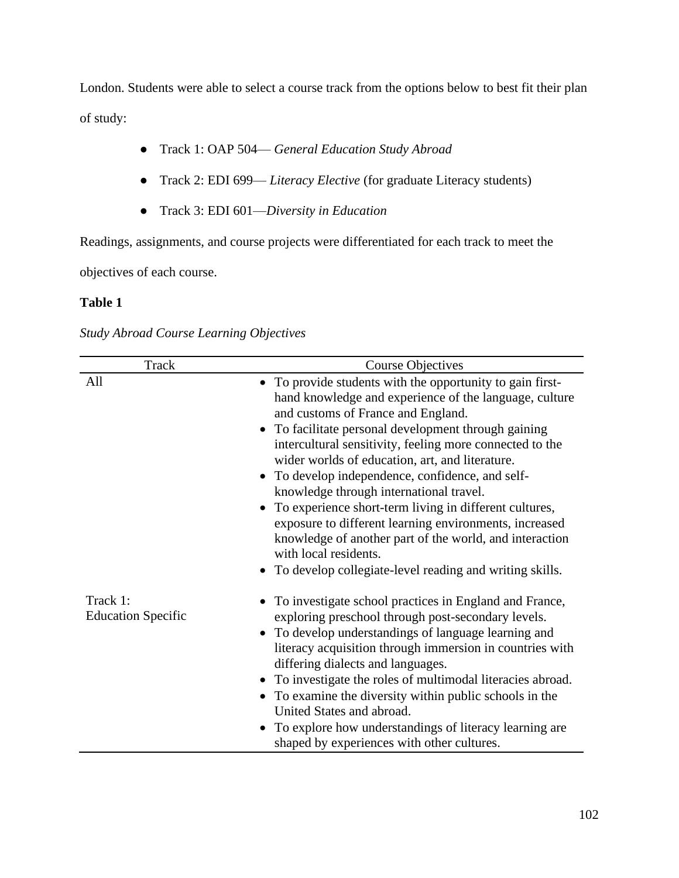London. Students were able to select a course track from the options below to best fit their plan of study:

- Track 1: OAP 504— *General Education Study Abroad*
- Track 2: EDI 699— *Literacy Elective* (for graduate Literacy students)
- Track 3: EDI 601—*Diversity in Education*

Readings, assignments, and course projects were differentiated for each track to meet the

objectives of each course.

## **Table 1**

*Study Abroad Course Learning Objectives*

| Track                                 | <b>Course Objectives</b>                                                                                                                                                                                                                                                                                                                                                                                                                                                                                                                                                                                                                                                                             |
|---------------------------------------|------------------------------------------------------------------------------------------------------------------------------------------------------------------------------------------------------------------------------------------------------------------------------------------------------------------------------------------------------------------------------------------------------------------------------------------------------------------------------------------------------------------------------------------------------------------------------------------------------------------------------------------------------------------------------------------------------|
| All                                   | • To provide students with the opportunity to gain first-<br>hand knowledge and experience of the language, culture<br>and customs of France and England.<br>• To facilitate personal development through gaining<br>intercultural sensitivity, feeling more connected to the<br>wider worlds of education, art, and literature.<br>• To develop independence, confidence, and self-<br>knowledge through international travel.<br>To experience short-term living in different cultures,<br>exposure to different learning environments, increased<br>knowledge of another part of the world, and interaction<br>with local residents.<br>• To develop collegiate-level reading and writing skills. |
| Track 1:<br><b>Education Specific</b> | To investigate school practices in England and France,<br>exploring preschool through post-secondary levels.<br>• To develop understandings of language learning and<br>literacy acquisition through immersion in countries with<br>differing dialects and languages.<br>To investigate the roles of multimodal literacies abroad.<br>To examine the diversity within public schools in the<br>United States and abroad.<br>To explore how understandings of literacy learning are<br>shaped by experiences with other cultures.                                                                                                                                                                     |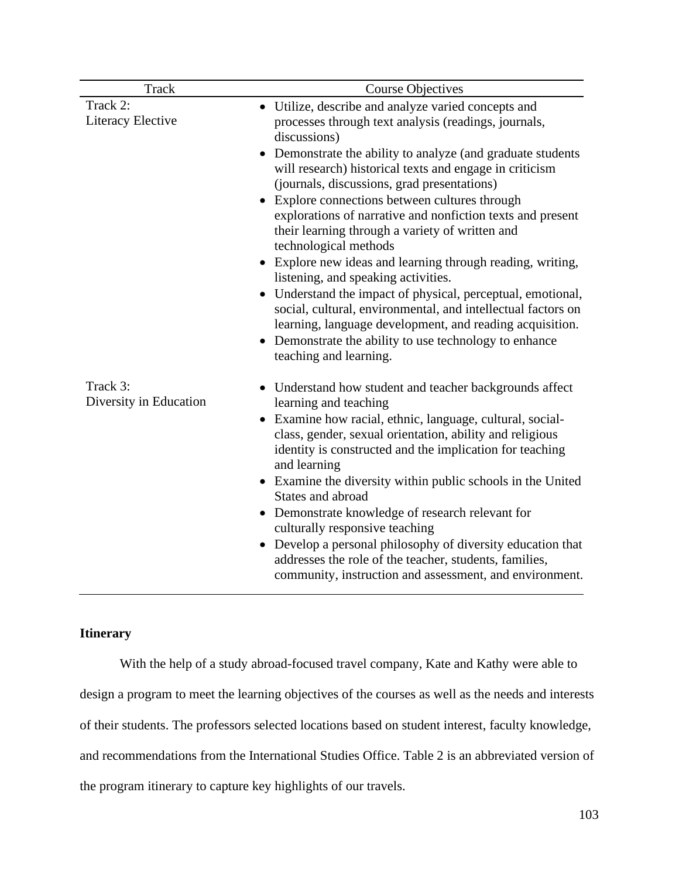| Track                              | <b>Course Objectives</b>                                                                                                                                                                                                                                                                                                                                                                                                                                                                                                                                                                                                                                                                                                                      |
|------------------------------------|-----------------------------------------------------------------------------------------------------------------------------------------------------------------------------------------------------------------------------------------------------------------------------------------------------------------------------------------------------------------------------------------------------------------------------------------------------------------------------------------------------------------------------------------------------------------------------------------------------------------------------------------------------------------------------------------------------------------------------------------------|
| Track 2:                           | Utilize, describe and analyze varied concepts and                                                                                                                                                                                                                                                                                                                                                                                                                                                                                                                                                                                                                                                                                             |
| Literacy Elective                  | processes through text analysis (readings, journals,<br>discussions)                                                                                                                                                                                                                                                                                                                                                                                                                                                                                                                                                                                                                                                                          |
|                                    | Demonstrate the ability to analyze (and graduate students<br>will research) historical texts and engage in criticism<br>(journals, discussions, grad presentations)<br>Explore connections between cultures through<br>explorations of narrative and nonfiction texts and present<br>their learning through a variety of written and<br>technological methods<br>• Explore new ideas and learning through reading, writing,<br>listening, and speaking activities.<br>Understand the impact of physical, perceptual, emotional,<br>social, cultural, environmental, and intellectual factors on<br>learning, language development, and reading acquisition.<br>Demonstrate the ability to use technology to enhance<br>teaching and learning. |
| Track 3:<br>Diversity in Education | Understand how student and teacher backgrounds affect<br>learning and teaching<br>Examine how racial, ethnic, language, cultural, social-<br>$\bullet$<br>class, gender, sexual orientation, ability and religious<br>identity is constructed and the implication for teaching<br>and learning<br>• Examine the diversity within public schools in the United<br>States and abroad<br>Demonstrate knowledge of research relevant for<br>$\bullet$<br>culturally responsive teaching<br>Develop a personal philosophy of diversity education that<br>addresses the role of the teacher, students, families,<br>community, instruction and assessment, and environment.                                                                         |

# **Itinerary**

With the help of a study abroad-focused travel company, Kate and Kathy were able to design a program to meet the learning objectives of the courses as well as the needs and interests of their students. The professors selected locations based on student interest, faculty knowledge, and recommendations from the International Studies Office. Table 2 is an abbreviated version of the program itinerary to capture key highlights of our travels.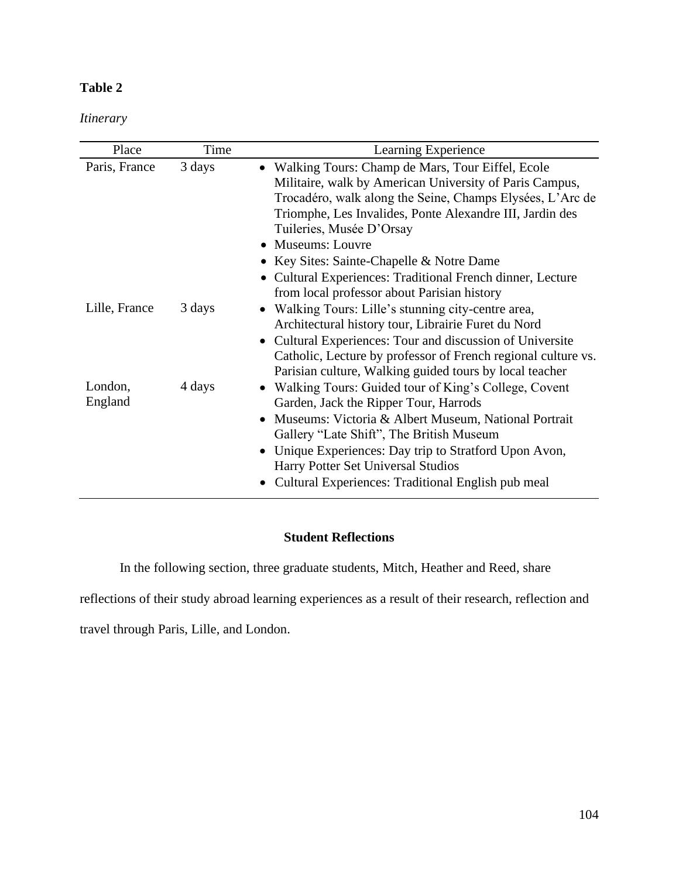# **Table 2**

*Itinerary*

| Place              | Time   | Learning Experience                                                                                                                                                                                                                                                                                                                                                                              |
|--------------------|--------|--------------------------------------------------------------------------------------------------------------------------------------------------------------------------------------------------------------------------------------------------------------------------------------------------------------------------------------------------------------------------------------------------|
| Paris, France      | 3 days | • Walking Tours: Champ de Mars, Tour Eiffel, Ecole<br>Militaire, walk by American University of Paris Campus,<br>Trocadéro, walk along the Seine, Champs Elysées, L'Arc de<br>Triomphe, Les Invalides, Ponte Alexandre III, Jardin des<br>Tuileries, Musée D'Orsay<br>• Museums: Louvre<br>• Key Sites: Sainte-Chapelle & Notre Dame<br>Cultural Experiences: Traditional French dinner, Lecture |
| Lille, France      | 3 days | from local professor about Parisian history<br>Walking Tours: Lille's stunning city-centre area,<br>Architectural history tour, Librairie Furet du Nord<br>• Cultural Experiences: Tour and discussion of Universite<br>Catholic, Lecture by professor of French regional culture vs.<br>Parisian culture, Walking guided tours by local teacher                                                 |
| London,<br>England | 4 days | • Walking Tours: Guided tour of King's College, Covent<br>Garden, Jack the Ripper Tour, Harrods<br>Museums: Victoria & Albert Museum, National Portrait<br>Gallery "Late Shift", The British Museum<br>Unique Experiences: Day trip to Stratford Upon Avon,<br>Harry Potter Set Universal Studios<br>Cultural Experiences: Traditional English pub meal                                          |

# **Student Reflections**

In the following section, three graduate students, Mitch, Heather and Reed, share

reflections of their study abroad learning experiences as a result of their research, reflection and

travel through Paris, Lille, and London.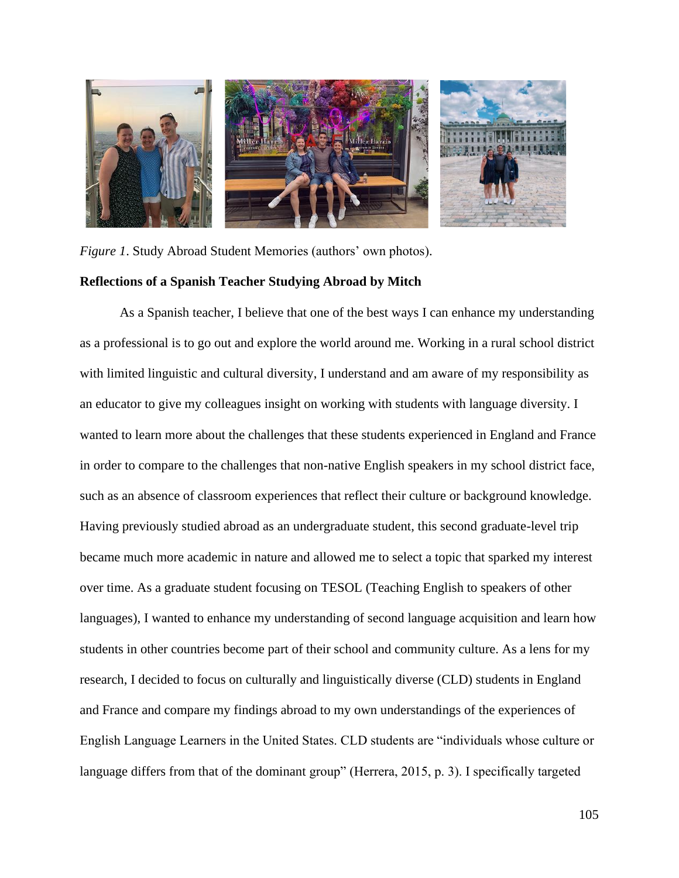

*Figure 1*. Study Abroad Student Memories (authors' own photos). **Reflections of a Spanish Teacher Studying Abroad by Mitch**

As a Spanish teacher, I believe that one of the best ways I can enhance my understanding as a professional is to go out and explore the world around me. Working in a rural school district with limited linguistic and cultural diversity, I understand and am aware of my responsibility as an educator to give my colleagues insight on working with students with language diversity. I wanted to learn more about the challenges that these students experienced in England and France in order to compare to the challenges that non-native English speakers in my school district face, such as an absence of classroom experiences that reflect their culture or background knowledge. Having previously studied abroad as an undergraduate student, this second graduate-level trip became much more academic in nature and allowed me to select a topic that sparked my interest over time. As a graduate student focusing on TESOL (Teaching English to speakers of other languages), I wanted to enhance my understanding of second language acquisition and learn how students in other countries become part of their school and community culture. As a lens for my research, I decided to focus on culturally and linguistically diverse (CLD) students in England and France and compare my findings abroad to my own understandings of the experiences of English Language Learners in the United States. CLD students are "individuals whose culture or language differs from that of the dominant group" (Herrera, 2015, p. 3). I specifically targeted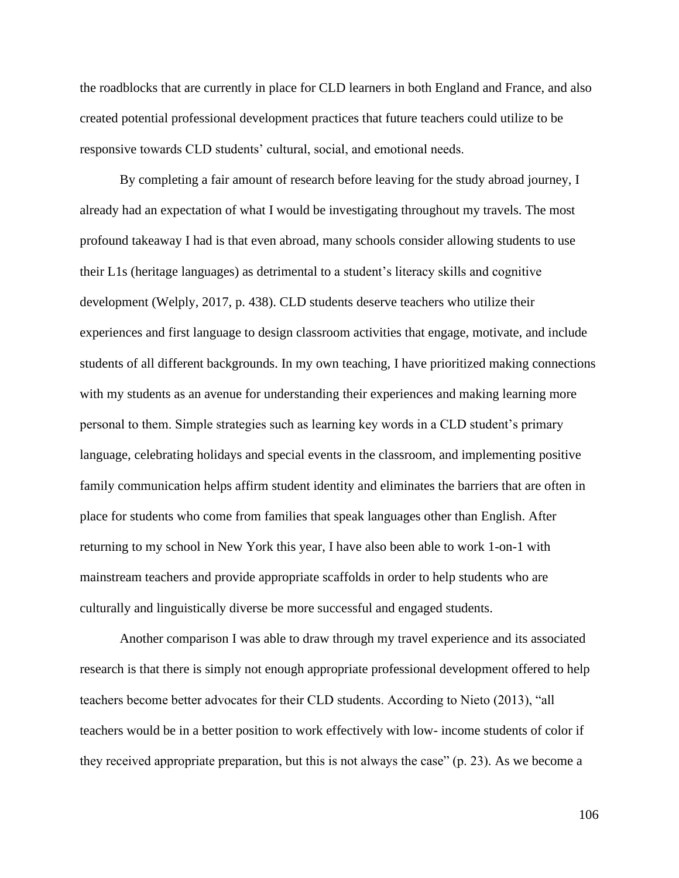the roadblocks that are currently in place for CLD learners in both England and France, and also created potential professional development practices that future teachers could utilize to be responsive towards CLD students' cultural, social, and emotional needs.

By completing a fair amount of research before leaving for the study abroad journey, I already had an expectation of what I would be investigating throughout my travels. The most profound takeaway I had is that even abroad, many schools consider allowing students to use their L1s (heritage languages) as detrimental to a student's literacy skills and cognitive development (Welply, 2017, p. 438). CLD students deserve teachers who utilize their experiences and first language to design classroom activities that engage, motivate, and include students of all different backgrounds. In my own teaching, I have prioritized making connections with my students as an avenue for understanding their experiences and making learning more personal to them. Simple strategies such as learning key words in a CLD student's primary language, celebrating holidays and special events in the classroom, and implementing positive family communication helps affirm student identity and eliminates the barriers that are often in place for students who come from families that speak languages other than English. After returning to my school in New York this year, I have also been able to work 1-on-1 with mainstream teachers and provide appropriate scaffolds in order to help students who are culturally and linguistically diverse be more successful and engaged students.

Another comparison I was able to draw through my travel experience and its associated research is that there is simply not enough appropriate professional development offered to help teachers become better advocates for their CLD students. According to Nieto (2013), "all teachers would be in a better position to work effectively with low- income students of color if they received appropriate preparation, but this is not always the case" (p. 23). As we become a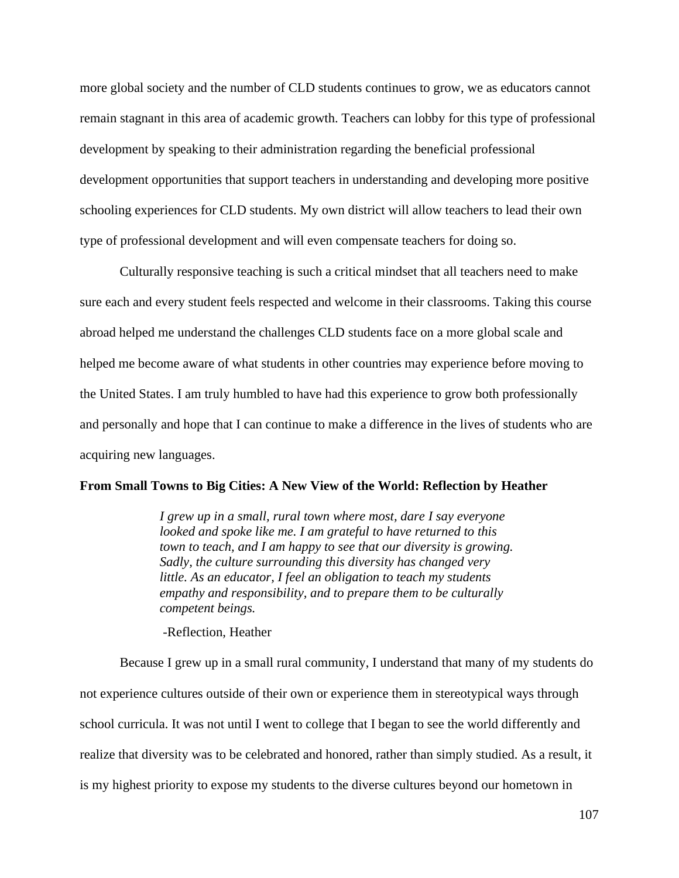more global society and the number of CLD students continues to grow, we as educators cannot remain stagnant in this area of academic growth. Teachers can lobby for this type of professional development by speaking to their administration regarding the beneficial professional development opportunities that support teachers in understanding and developing more positive schooling experiences for CLD students. My own district will allow teachers to lead their own type of professional development and will even compensate teachers for doing so.

Culturally responsive teaching is such a critical mindset that all teachers need to make sure each and every student feels respected and welcome in their classrooms. Taking this course abroad helped me understand the challenges CLD students face on a more global scale and helped me become aware of what students in other countries may experience before moving to the United States. I am truly humbled to have had this experience to grow both professionally and personally and hope that I can continue to make a difference in the lives of students who are acquiring new languages.

## **From Small Towns to Big Cities: A New View of the World: Reflection by Heather**

*I grew up in a small, rural town where most, dare I say everyone looked and spoke like me. I am grateful to have returned to this town to teach, and I am happy to see that our diversity is growing. Sadly, the culture surrounding this diversity has changed very little. As an educator, I feel an obligation to teach my students empathy and responsibility, and to prepare them to be culturally competent beings.* 

-Reflection, Heather

Because I grew up in a small rural community, I understand that many of my students do not experience cultures outside of their own or experience them in stereotypical ways through school curricula. It was not until I went to college that I began to see the world differently and realize that diversity was to be celebrated and honored, rather than simply studied. As a result, it is my highest priority to expose my students to the diverse cultures beyond our hometown in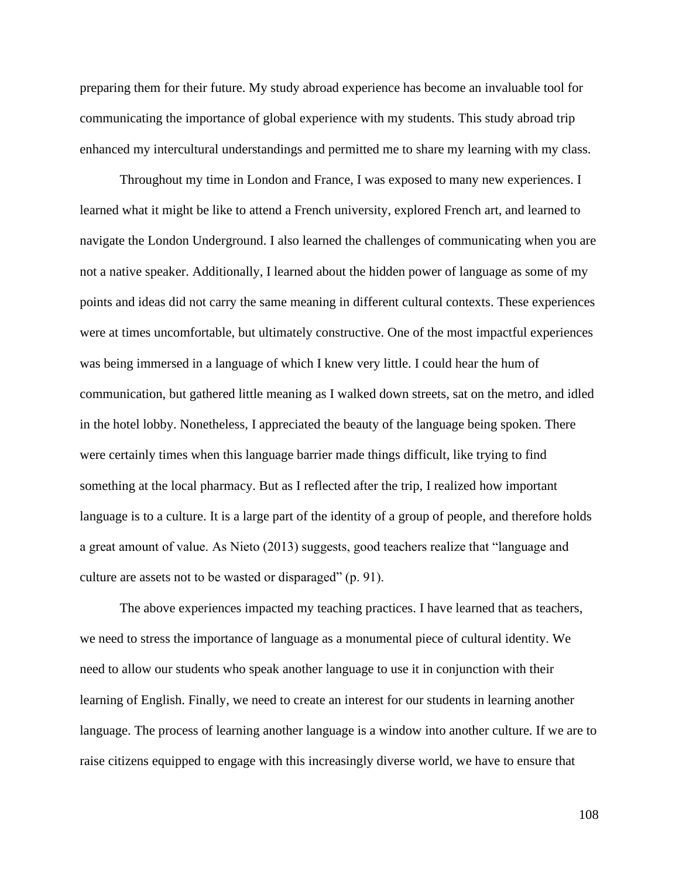preparing them for their future. My study abroad experience has become an invaluable tool for communicating the importance of global experience with my students. This study abroad trip enhanced my intercultural understandings and permitted me to share my learning with my class.

Throughout my time in London and France, I was exposed to many new experiences. I learned what it might be like to attend a French university, explored French art, and learned to navigate the London Underground. I also learned the challenges of communicating when you are not a native speaker. Additionally, I learned about the hidden power of language as some of my points and ideas did not carry the same meaning in different cultural contexts. These experiences were at times uncomfortable, but ultimately constructive. One of the most impactful experiences was being immersed in a language of which I knew very little. I could hear the hum of communication, but gathered little meaning as I walked down streets, sat on the metro, and idled in the hotel lobby. Nonetheless, I appreciated the beauty of the language being spoken. There were certainly times when this language barrier made things difficult, like trying to find something at the local pharmacy. But as I reflected after the trip, I realized how important language is to a culture. It is a large part of the identity of a group of people, and therefore holds a great amount of value. As Nieto (2013) suggests, good teachers realize that "language and culture are assets not to be wasted or disparaged" (p. 91).

The above experiences impacted my teaching practices. I have learned that as teachers, we need to stress the importance of language as a monumental piece of cultural identity. We need to allow our students who speak another language to use it in conjunction with their learning of English. Finally, we need to create an interest for our students in learning another language. The process of learning another language is a window into another culture. If we are to raise citizens equipped to engage with this increasingly diverse world, we have to ensure that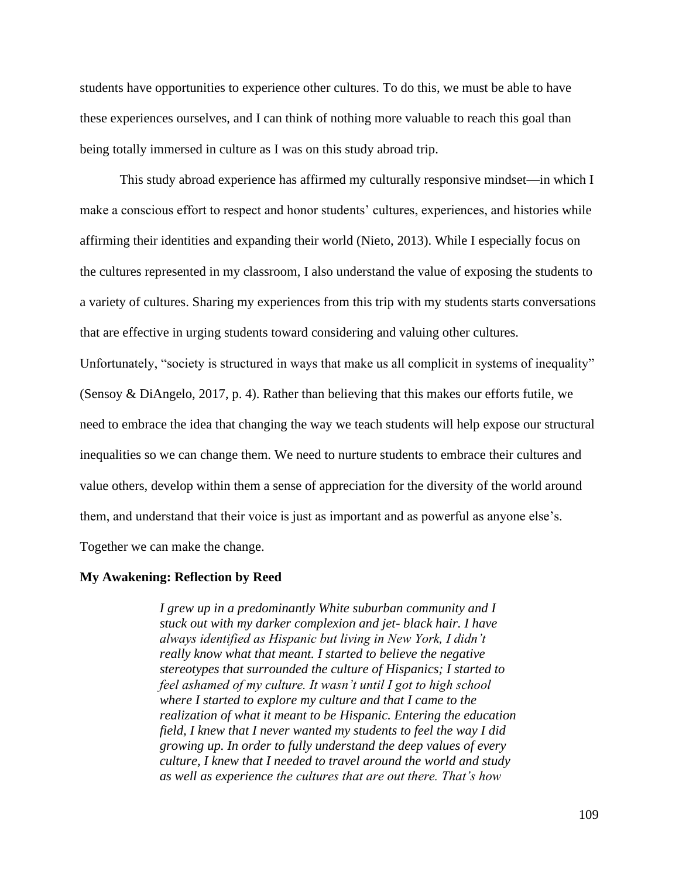students have opportunities to experience other cultures. To do this, we must be able to have these experiences ourselves, and I can think of nothing more valuable to reach this goal than being totally immersed in culture as I was on this study abroad trip.

This study abroad experience has affirmed my culturally responsive mindset—in which I make a conscious effort to respect and honor students' cultures, experiences, and histories while affirming their identities and expanding their world (Nieto, 2013). While I especially focus on the cultures represented in my classroom, I also understand the value of exposing the students to a variety of cultures. Sharing my experiences from this trip with my students starts conversations that are effective in urging students toward considering and valuing other cultures.

Unfortunately, "society is structured in ways that make us all complicit in systems of inequality" (Sensoy & DiAngelo, 2017, p. 4). Rather than believing that this makes our efforts futile, we need to embrace the idea that changing the way we teach students will help expose our structural inequalities so we can change them. We need to nurture students to embrace their cultures and value others, develop within them a sense of appreciation for the diversity of the world around them, and understand that their voice is just as important and as powerful as anyone else's. Together we can make the change.

### **My Awakening: Reflection by Reed**

*I grew up in a predominantly White suburban community and I stuck out with my darker complexion and jet- black hair. I have always identified as Hispanic but living in New York, I didn't really know what that meant. I started to believe the negative stereotypes that surrounded the culture of Hispanics; I started to feel ashamed of my culture. It wasn't until I got to high school where I started to explore my culture and that I came to the realization of what it meant to be Hispanic. Entering the education field, I knew that I never wanted my students to feel the way I did growing up. In order to fully understand the deep values of every culture, I knew that I needed to travel around the world and study as well as experience the cultures that are out there. That's how*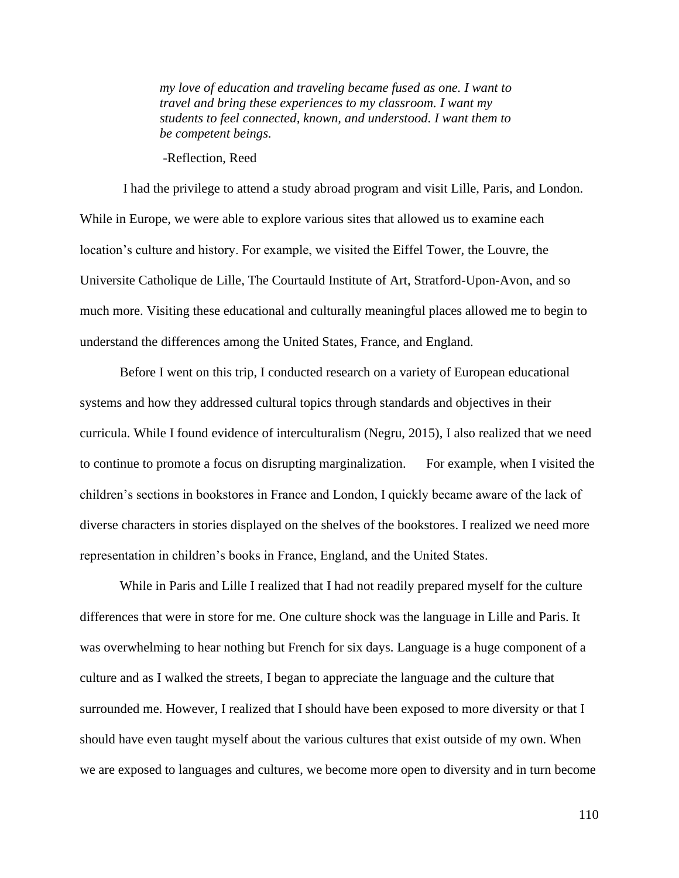*my love of education and traveling became fused as one. I want to travel and bring these experiences to my classroom. I want my students to feel connected, known, and understood. I want them to be competent beings.* 

-Reflection, Reed

I had the privilege to attend a study abroad program and visit Lille, Paris, and London. While in Europe, we were able to explore various sites that allowed us to examine each location's culture and history. For example, we visited the Eiffel Tower, the Louvre, the Universite Catholique de Lille, The Courtauld Institute of Art, Stratford-Upon-Avon, and so much more. Visiting these educational and culturally meaningful places allowed me to begin to understand the differences among the United States, France, and England.

 Before I went on this trip, I conducted research on a variety of European educational systems and how they addressed cultural topics through standards and objectives in their curricula. While I found evidence of interculturalism (Negru, 2015), I also realized that we need to continue to promote a focus on disrupting marginalization. For example, when I visited the children's sections in bookstores in France and London, I quickly became aware of the lack of diverse characters in stories displayed on the shelves of the bookstores. I realized we need more representation in children's books in France, England, and the United States.

While in Paris and Lille I realized that I had not readily prepared myself for the culture differences that were in store for me. One culture shock was the language in Lille and Paris. It was overwhelming to hear nothing but French for six days. Language is a huge component of a culture and as I walked the streets, I began to appreciate the language and the culture that surrounded me. However, I realized that I should have been exposed to more diversity or that I should have even taught myself about the various cultures that exist outside of my own. When we are exposed to languages and cultures, we become more open to diversity and in turn become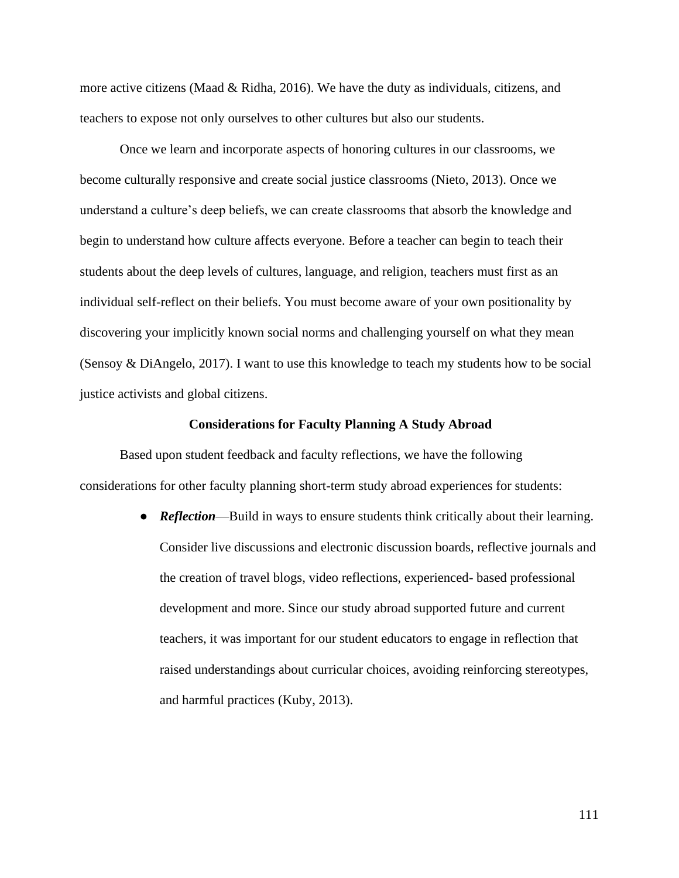more active citizens (Maad & Ridha, 2016). We have the duty as individuals, citizens, and teachers to expose not only ourselves to other cultures but also our students.

 Once we learn and incorporate aspects of honoring cultures in our classrooms, we become culturally responsive and create social justice classrooms (Nieto, 2013). Once we understand a culture's deep beliefs, we can create classrooms that absorb the knowledge and begin to understand how culture affects everyone. Before a teacher can begin to teach their students about the deep levels of cultures, language, and religion, teachers must first as an individual self-reflect on their beliefs. You must become aware of your own positionality by discovering your implicitly known social norms and challenging yourself on what they mean (Sensoy & DiAngelo, 2017). I want to use this knowledge to teach my students how to be social justice activists and global citizens.

#### **Considerations for Faculty Planning A Study Abroad**

Based upon student feedback and faculty reflections, we have the following considerations for other faculty planning short-term study abroad experiences for students:

> • *Reflection***—Build in ways to ensure students think critically about their learning.** Consider live discussions and electronic discussion boards, reflective journals and the creation of travel blogs, video reflections, experienced- based professional development and more. Since our study abroad supported future and current teachers, it was important for our student educators to engage in reflection that raised understandings about curricular choices, avoiding reinforcing stereotypes, and harmful practices (Kuby, 2013).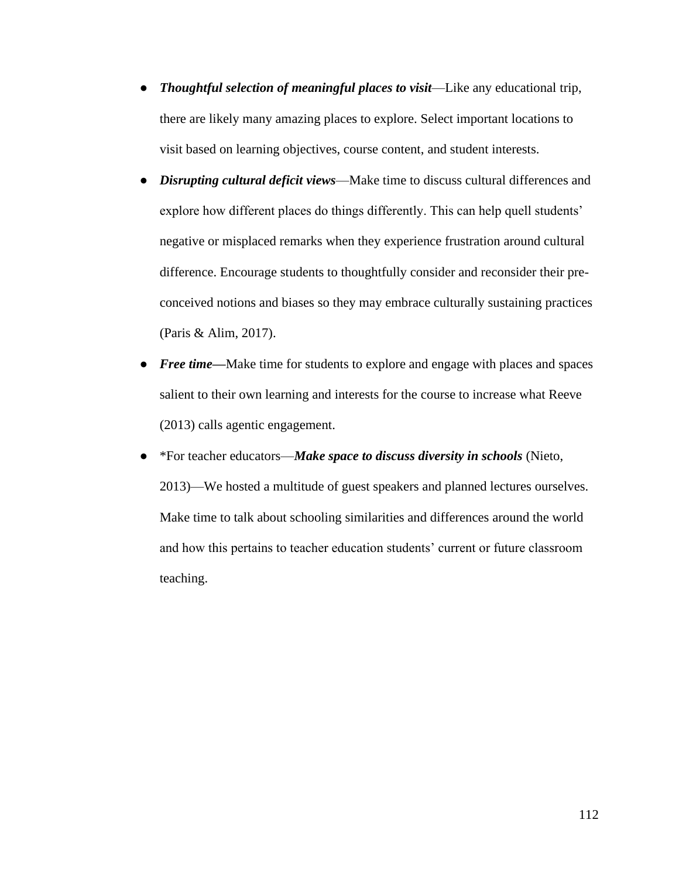- *Thoughtful selection of meaningful places to visit*—Like any educational trip, there are likely many amazing places to explore. Select important locations to visit based on learning objectives, course content, and student interests.
- *Disrupting cultural deficit views*—Make time to discuss cultural differences and explore how different places do things differently. This can help quell students' negative or misplaced remarks when they experience frustration around cultural difference. Encourage students to thoughtfully consider and reconsider their preconceived notions and biases so they may embrace culturally sustaining practices (Paris & Alim, 2017).
- *Free time***—**Make time for students to explore and engage with places and spaces salient to their own learning and interests for the course to increase what Reeve (2013) calls agentic engagement.
- \*For teacher educators—*Make space to discuss diversity in schools* (Nieto, 2013)—We hosted a multitude of guest speakers and planned lectures ourselves. Make time to talk about schooling similarities and differences around the world and how this pertains to teacher education students' current or future classroom teaching.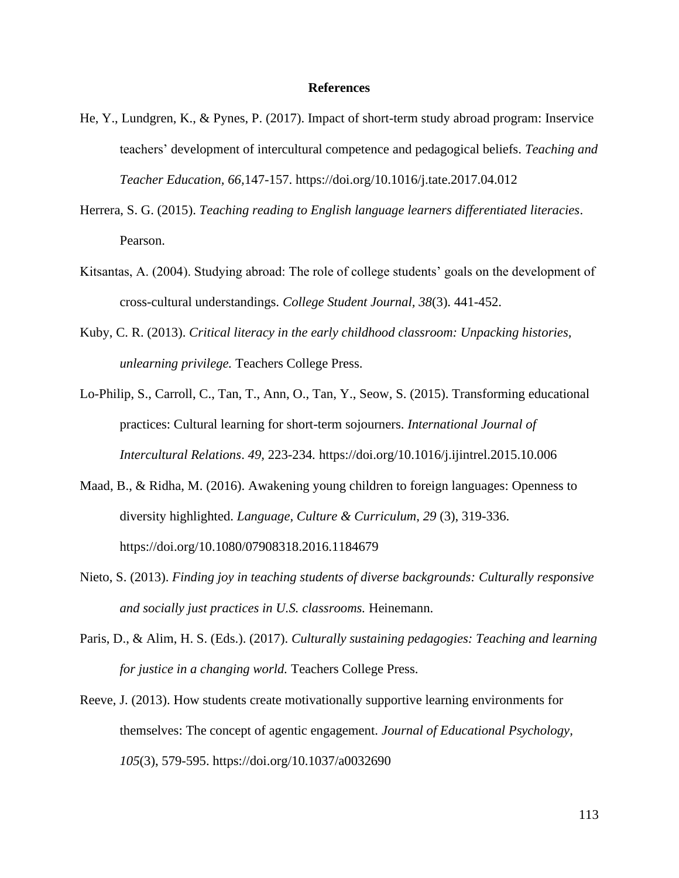### **References**

- He, Y., Lundgren, K., & Pynes, P. (2017). Impact of short-term study abroad program: Inservice teachers' development of intercultural competence and pedagogical beliefs. *Teaching and Teacher Education, 66,*147-157. https://doi.org/10.1016/j.tate.2017.04.012
- Herrera, S. G. (2015). *Teaching reading to English language learners differentiated literacies*. Pearson.
- Kitsantas, A. (2004). Studying abroad: The role of college students' goals on the development of cross-cultural understandings. *College Student Journal, 38*(3). 441-452.
- Kuby, C. R. (2013). *Critical literacy in the early childhood classroom: Unpacking histories, unlearning privilege.* Teachers College Press.
- Lo-Philip, S., Carroll, C., Tan, T., Ann, O., Tan, Y., Seow, S. (2015). Transforming educational practices: Cultural learning for short-term sojourners. *International Journal of Intercultural Relations*. *49,* 223-234*.* https://doi.org/10.1016/j.ijintrel.2015.10.006
- Maad, B., & Ridha, M. (2016). Awakening young children to foreign languages: Openness to diversity highlighted. *Language, Culture & Curriculum*, *29* (3), 319-336. https://doi.org/10.1080/07908318.2016.1184679
- Nieto, S. (2013). *Finding joy in teaching students of diverse backgrounds: Culturally responsive and socially just practices in U.S. classrooms.* Heinemann.
- Paris, D., & Alim, H. S. (Eds.). (2017). *Culturally sustaining pedagogies: Teaching and learning for justice in a changing world.* Teachers College Press.
- Reeve, J. (2013). How students create motivationally supportive learning environments for themselves: The concept of agentic engagement. *Journal of Educational Psychology, 105*(3), 579-595. https://doi.org/10.1037/a0032690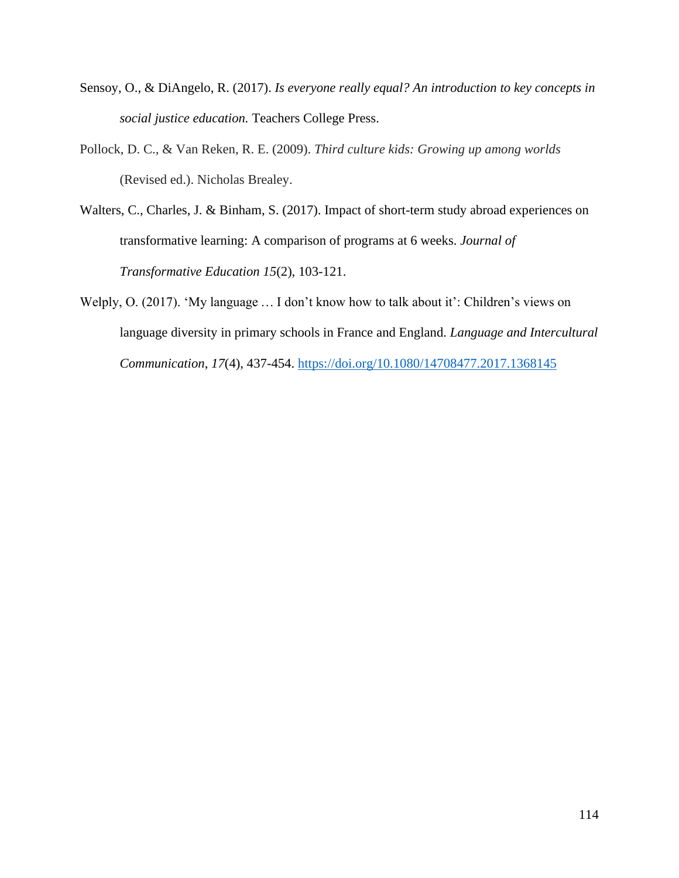- Sensoy, O., & DiAngelo, R. (2017). *Is everyone really equal? An introduction to key concepts in social justice education.* Teachers College Press.
- Pollock, D. C., & Van Reken, R. E. (2009). *Third culture kids: Growing up among worlds*  (Revised ed.). Nicholas Brealey.
- Walters, C., Charles, J. & Binham, S. (2017). Impact of short-term study abroad experiences on transformative learning: A comparison of programs at 6 weeks. *Journal of Transformative Education 15*(2), 103-121.
- Welply, O. (2017). 'My language … I don't know how to talk about it': Children's views on language diversity in primary schools in France and England. *Language and Intercultural Communication*, *17*(4), 437-454. <https://doi.org/10.1080/14708477.2017.1368145>